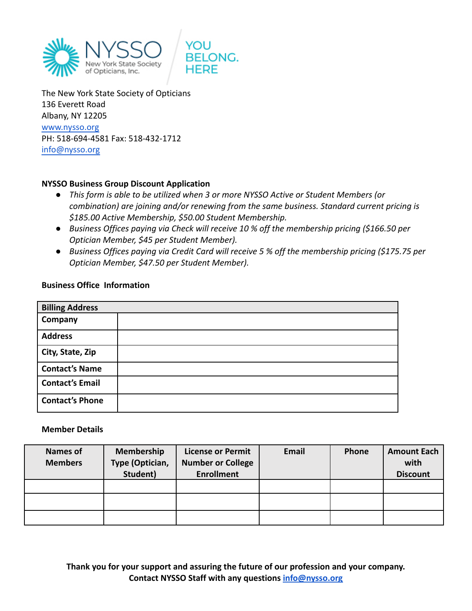



The New York State Society of Opticians 136 Everett Road Albany, NY 12205 [www.nysso.org](http://www.nysso.org) PH: 518-694-4581 Fax: 518-432-1712 [info@nysso.org](mailto:info@nysso.org)

## **NYSSO Business Group Discount Application**

- *● This form is able to be utilized when 3 or more NYSSO Active or Student Members (or combination) are joining and/or renewing from the same business. Standard current pricing is \$185.00 Active Membership, \$50.00 Student Membership.*
- *● Business Offices paying via Check will receive 10 % off the membership pricing (\$166.50 per Optician Member, \$45 per Student Member).*
- *● Business Offices paying via Credit Card will receive 5 % off the membership pricing (\$175.75 per Optician Member, \$47.50 per Student Member).*

## **Business Office Information**

| <b>Billing Address</b> |  |  |  |  |
|------------------------|--|--|--|--|
| Company                |  |  |  |  |
| <b>Address</b>         |  |  |  |  |
| City, State, Zip       |  |  |  |  |
| <b>Contact's Name</b>  |  |  |  |  |
| <b>Contact's Email</b> |  |  |  |  |
| <b>Contact's Phone</b> |  |  |  |  |

## **Member Details**

| <b>Names of</b><br><b>Members</b> | Membership<br>Type (Optician,<br>Student) | <b>License or Permit</b><br><b>Number or College</b><br><b>Enrollment</b> | Email | <b>Phone</b> | <b>Amount Each</b><br>with<br><b>Discount</b> |
|-----------------------------------|-------------------------------------------|---------------------------------------------------------------------------|-------|--------------|-----------------------------------------------|
|                                   |                                           |                                                                           |       |              |                                               |
|                                   |                                           |                                                                           |       |              |                                               |
|                                   |                                           |                                                                           |       |              |                                               |

**Thank you for your support and assuring the future of our profession and your company. Contact NYSSO Staff with any questions [info@nysso.org](mailto:info@nysso.org)**